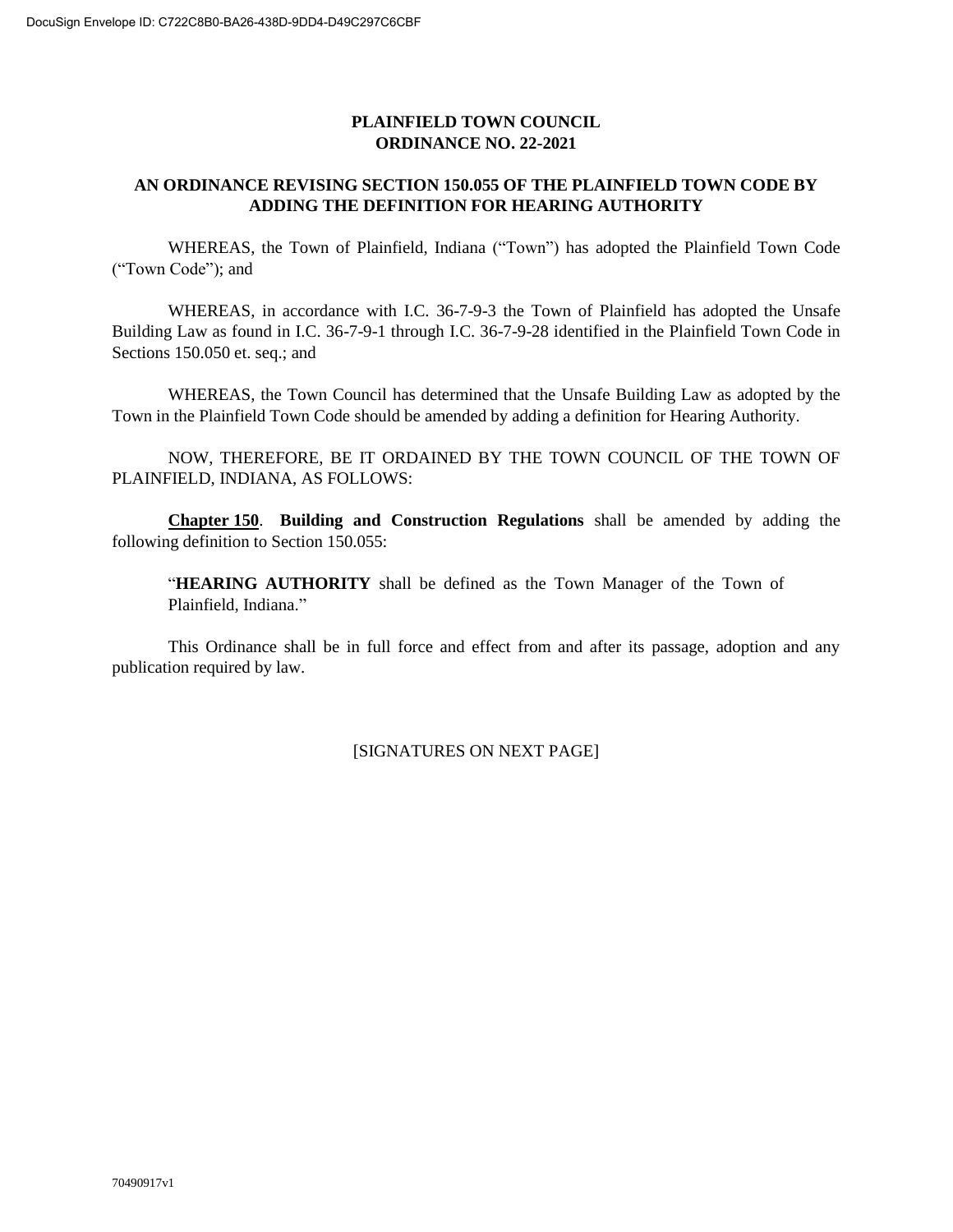## **PLAINFIELD TOWN COUNCIL ORDINANCE NO. 22-2021**

## **AN ORDINANCE REVISING SECTION 150.055 OF THE PLAINFIELD TOWN CODE BY ADDING THE DEFINITION FOR HEARING AUTHORITY**

WHEREAS, the Town of Plainfield, Indiana ("Town") has adopted the Plainfield Town Code ("Town Code"); and

WHEREAS, in accordance with I.C. 36-7-9-3 the Town of Plainfield has adopted the Unsafe Building Law as found in I.C. 36-7-9-1 through I.C. 36-7-9-28 identified in the Plainfield Town Code in Sections 150.050 et. seq.; and

WHEREAS, the Town Council has determined that the Unsafe Building Law as adopted by the Town in the Plainfield Town Code should be amended by adding a definition for Hearing Authority.

NOW, THEREFORE, BE IT ORDAINED BY THE TOWN COUNCIL OF THE TOWN OF PLAINFIELD, INDIANA, AS FOLLOWS:

**Chapter 150**. **Building and Construction Regulations** shall be amended by adding the following definition to Section 150.055:

"**HEARING AUTHORITY** shall be defined as the Town Manager of the Town of Plainfield, Indiana."

This Ordinance shall be in full force and effect from and after its passage, adoption and any publication required by law.

[SIGNATURES ON NEXT PAGE]